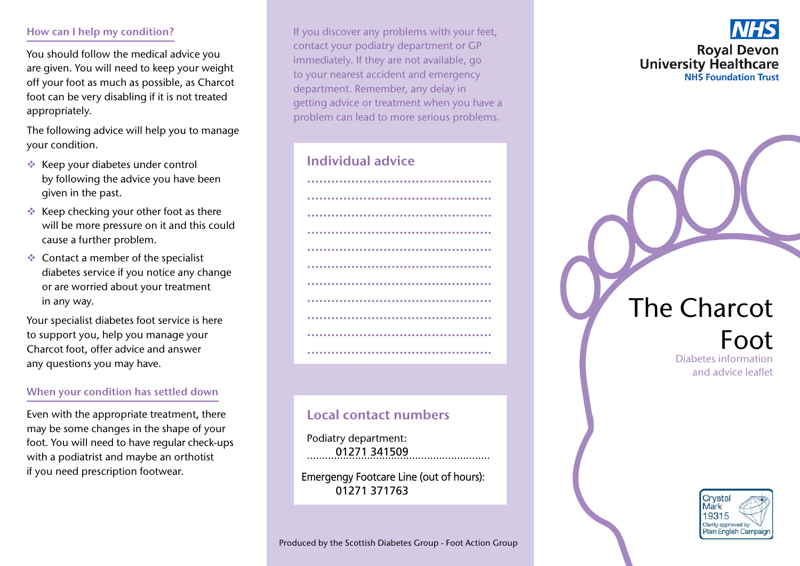## How can I help my condition?

You should follow the medical advice you are given. You will need to keep your weight off your foot as much as possible, as Charcot foot can be very disabling if it is not treated appropriately.

The following advice will help you to manage your condition.

- $\triangleleft$  Keep your diabetes under control by following the advice you have been given in the past.
- $\triangleleft$  Keep checking your other foot as there will be more pressure on it and this could cause a further problem.
- $\triangleleft$  Contact a member of the specialist diabetes service if you notice any change or are worried about your treatment in any way.

Your specialist diabetes foot service is here to support you, help you manage your Charcot foot, offer advice and answer any questions you may have.

# When your condition has settled down

Even with the appropriate treatment, there may be some changes in the shape of your foot. You will need to have regular check-ups with a podiatrist and maybe an orthotist if you need prescription footwear.

If you discover any problems with your feet, contact your podiatry department or GP immediately. If they are not available, go to your nearest accident and emergency department. Remember, any delay in getting advice or treatment when you have a problem can lead to more serious problems.

# Individual advice



# Local contact numbers

Podiatry department: ............................................................. 01271 341509

Emergengy Footcare Line (out of hours): ............................................................. 01271 371763



# The Charcot

# Foot Diabetes information and advice leaflet